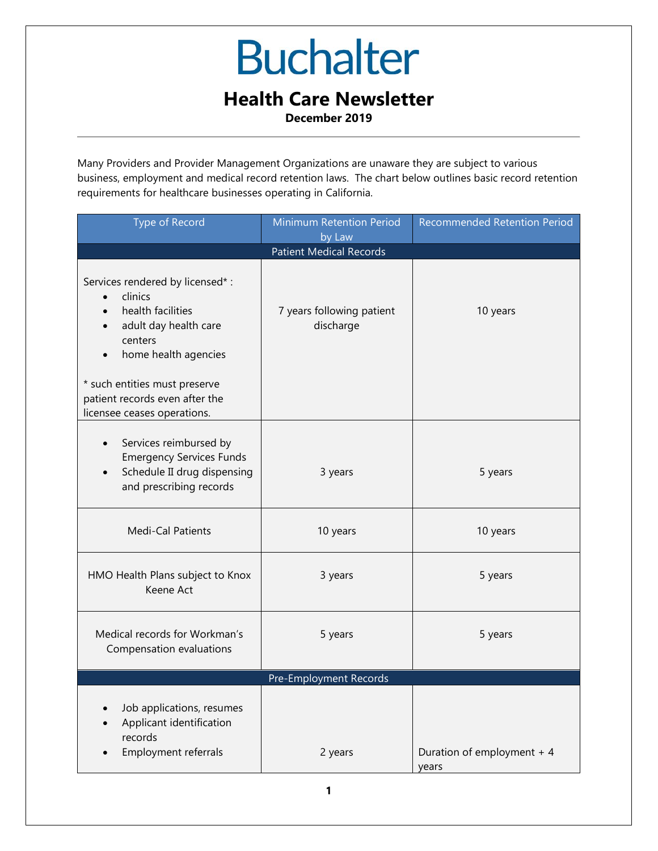#### **Health Care Newsletter**

**December 2019**

Many Providers and Provider Management Organizations are unaware they are subject to various business, employment and medical record retention laws. The chart below outlines basic record retention requirements for healthcare businesses operating in California.

| <b>Type of Record</b>                                                                                                                                                                           | Minimum Retention Period<br>by Law     | Recommended Retention Period        |  |  |
|-------------------------------------------------------------------------------------------------------------------------------------------------------------------------------------------------|----------------------------------------|-------------------------------------|--|--|
| <b>Patient Medical Records</b>                                                                                                                                                                  |                                        |                                     |  |  |
| Services rendered by licensed* :<br>clinics<br>health facilities<br>adult day health care<br>centers<br>home health agencies<br>* such entities must preserve<br>patient records even after the | 7 years following patient<br>discharge | 10 years                            |  |  |
| licensee ceases operations.<br>Services reimbursed by<br>$\bullet$<br><b>Emergency Services Funds</b><br>Schedule II drug dispensing<br>and prescribing records                                 | 3 years                                | 5 years                             |  |  |
| Medi-Cal Patients                                                                                                                                                                               | 10 years                               | 10 years                            |  |  |
| HMO Health Plans subject to Knox<br>Keene Act                                                                                                                                                   | 3 years                                | 5 years                             |  |  |
| Medical records for Workman's<br>Compensation evaluations                                                                                                                                       | 5 years                                | 5 years                             |  |  |
| Pre-Employment Records                                                                                                                                                                          |                                        |                                     |  |  |
| Job applications, resumes<br>Applicant identification<br>records<br>Employment referrals                                                                                                        | 2 years                                | Duration of employment + 4<br>years |  |  |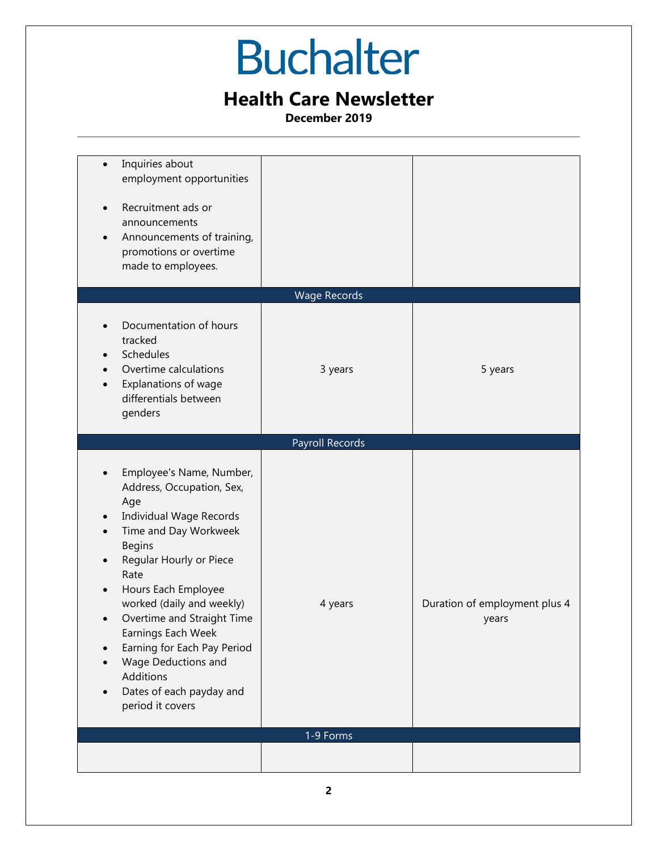### **Health Care Newsletter**

**December 2019**

| Inquiries about<br>employment opportunities<br>Recruitment ads or<br>$\bullet$<br>announcements<br>Announcements of training,<br>$\bullet$<br>promotions or overtime<br>made to employees.                                                                                                                                                                                                                    |                      |                                        |
|---------------------------------------------------------------------------------------------------------------------------------------------------------------------------------------------------------------------------------------------------------------------------------------------------------------------------------------------------------------------------------------------------------------|----------------------|----------------------------------------|
| Documentation of hours                                                                                                                                                                                                                                                                                                                                                                                        | <b>Wage Records</b>  |                                        |
| tracked<br>Schedules<br>Overtime calculations<br>Explanations of wage<br>$\bullet$<br>differentials between<br>genders                                                                                                                                                                                                                                                                                        | 3 years              | 5 years                                |
|                                                                                                                                                                                                                                                                                                                                                                                                               | Payroll Records      |                                        |
| Employee's Name, Number,<br>Address, Occupation, Sex,<br>Age<br><b>Individual Wage Records</b><br>Time and Day Workweek<br><b>Begins</b><br>Regular Hourly or Piece<br>Rate<br>Hours Each Employee<br>worked (daily and weekly)<br>Overtime and Straight Time<br>Earnings Each Week<br>Earning for Each Pay Period<br>Wage Deductions and<br><b>Additions</b><br>Dates of each payday and<br>period it covers | 4 years<br>1-9 Forms | Duration of employment plus 4<br>years |
|                                                                                                                                                                                                                                                                                                                                                                                                               |                      |                                        |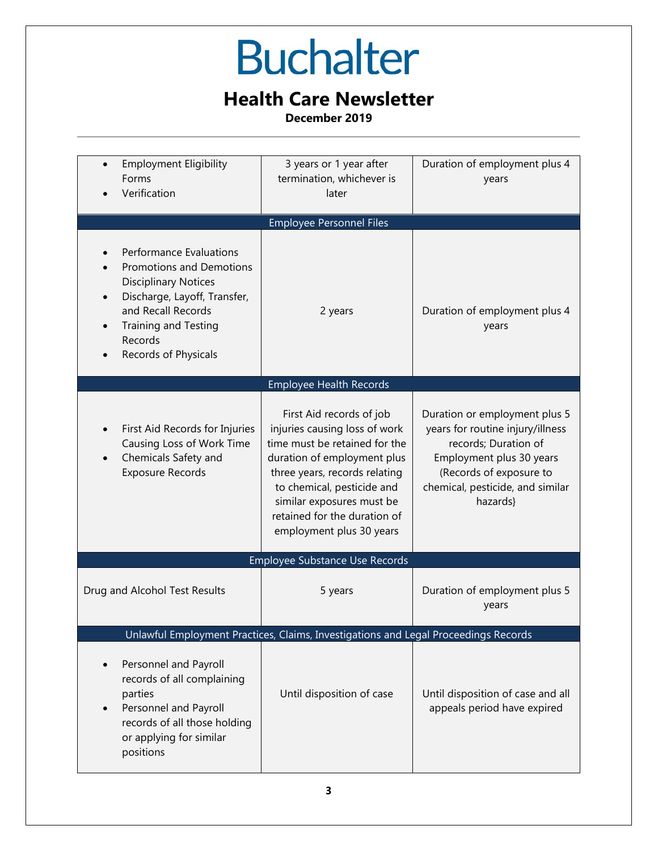### **Health Care Newsletter**

**December 2019**

| <b>Employment Eligibility</b><br>Forms<br>Verification                                                                                                                                                                   | 3 years or 1 year after<br>termination, whichever is<br>later                                                                                                                                                                                                                     | Duration of employment plus 4<br>years                                                                                                                                                           |  |  |
|--------------------------------------------------------------------------------------------------------------------------------------------------------------------------------------------------------------------------|-----------------------------------------------------------------------------------------------------------------------------------------------------------------------------------------------------------------------------------------------------------------------------------|--------------------------------------------------------------------------------------------------------------------------------------------------------------------------------------------------|--|--|
| <b>Employee Personnel Files</b>                                                                                                                                                                                          |                                                                                                                                                                                                                                                                                   |                                                                                                                                                                                                  |  |  |
| <b>Performance Evaluations</b><br><b>Promotions and Demotions</b><br><b>Disciplinary Notices</b><br>Discharge, Layoff, Transfer,<br>and Recall Records<br><b>Training and Testing</b><br>Records<br>Records of Physicals | 2 years                                                                                                                                                                                                                                                                           | Duration of employment plus 4<br>years                                                                                                                                                           |  |  |
|                                                                                                                                                                                                                          | <b>Employee Health Records</b>                                                                                                                                                                                                                                                    |                                                                                                                                                                                                  |  |  |
| First Aid Records for Injuries<br>Causing Loss of Work Time<br>Chemicals Safety and<br><b>Exposure Records</b>                                                                                                           | First Aid records of job<br>injuries causing loss of work<br>time must be retained for the<br>duration of employment plus<br>three years, records relating<br>to chemical, pesticide and<br>similar exposures must be<br>retained for the duration of<br>employment plus 30 years | Duration or employment plus 5<br>years for routine injury/illness<br>records; Duration of<br>Employment plus 30 years<br>(Records of exposure to<br>chemical, pesticide, and similar<br>hazards} |  |  |
| Employee Substance Use Records                                                                                                                                                                                           |                                                                                                                                                                                                                                                                                   |                                                                                                                                                                                                  |  |  |
| Drug and Alcohol Test Results                                                                                                                                                                                            | 5 years                                                                                                                                                                                                                                                                           | Duration of employment plus 5<br>years                                                                                                                                                           |  |  |
| Unlawful Employment Practices, Claims, Investigations and Legal Proceedings Records                                                                                                                                      |                                                                                                                                                                                                                                                                                   |                                                                                                                                                                                                  |  |  |
| Personnel and Payroll<br>records of all complaining<br>parties<br>Personnel and Payroll<br>records of all those holding<br>or applying for similar<br>positions                                                          | Until disposition of case                                                                                                                                                                                                                                                         | Until disposition of case and all<br>appeals period have expired                                                                                                                                 |  |  |